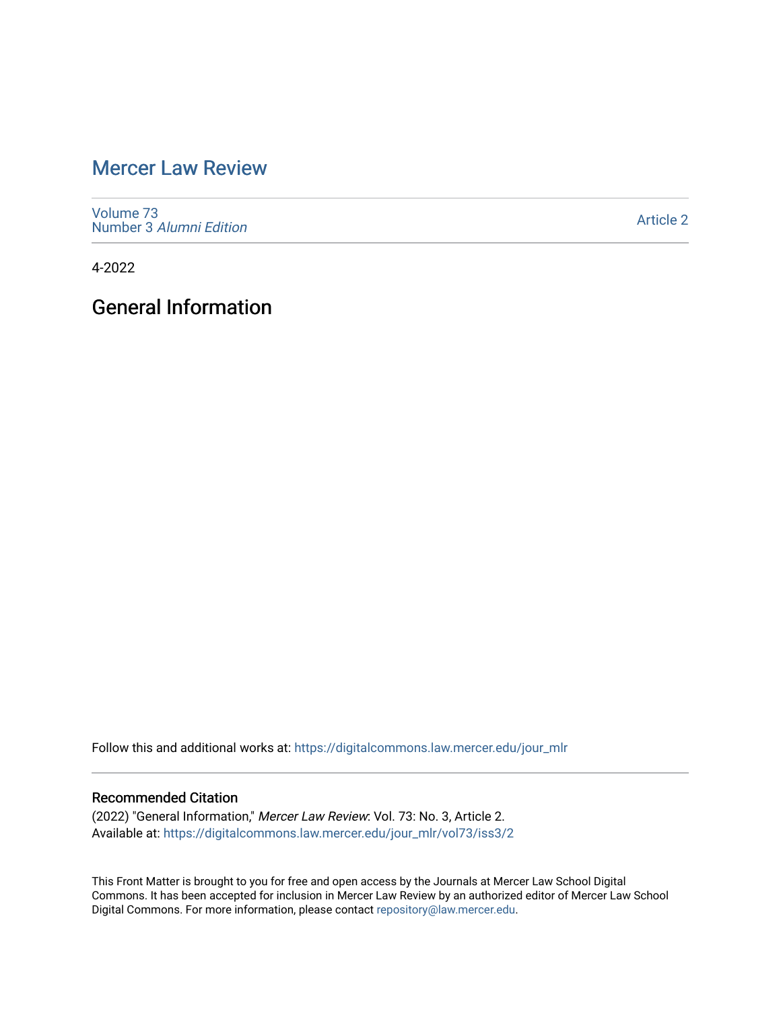# [Mercer Law Review](https://digitalcommons.law.mercer.edu/jour_mlr)

[Volume 73](https://digitalcommons.law.mercer.edu/jour_mlr/vol73) Number 3 [Alumni Edition](https://digitalcommons.law.mercer.edu/jour_mlr/vol73/iss3) 

[Article 2](https://digitalcommons.law.mercer.edu/jour_mlr/vol73/iss3/2) 

4-2022

General Information

Follow this and additional works at: [https://digitalcommons.law.mercer.edu/jour\\_mlr](https://digitalcommons.law.mercer.edu/jour_mlr?utm_source=digitalcommons.law.mercer.edu%2Fjour_mlr%2Fvol73%2Fiss3%2F2&utm_medium=PDF&utm_campaign=PDFCoverPages)

### Recommended Citation

(2022) "General Information," Mercer Law Review: Vol. 73: No. 3, Article 2. Available at: [https://digitalcommons.law.mercer.edu/jour\\_mlr/vol73/iss3/2](https://digitalcommons.law.mercer.edu/jour_mlr/vol73/iss3/2?utm_source=digitalcommons.law.mercer.edu%2Fjour_mlr%2Fvol73%2Fiss3%2F2&utm_medium=PDF&utm_campaign=PDFCoverPages)

This Front Matter is brought to you for free and open access by the Journals at Mercer Law School Digital Commons. It has been accepted for inclusion in Mercer Law Review by an authorized editor of Mercer Law School Digital Commons. For more information, please contact [repository@law.mercer.edu](mailto:repository@law.mercer.edu).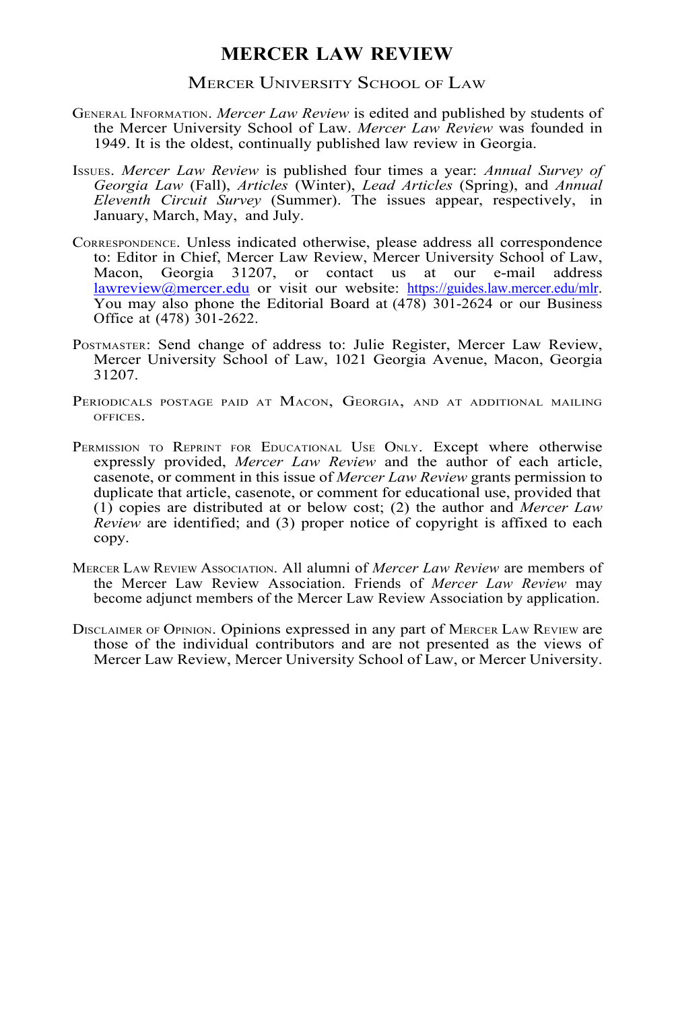### **MERCER LAW REVIEW**

#### MERCER UNIVERSITY SCHOOL OF LAW

- GENERAL INFORMATION. *Mercer Law Review* is edited and published by students of the Mercer University School of Law. *Mercer Law Review* was founded in 1949. It is the oldest, continually published law review in Georgia.
- ISSUES. *Mercer Law Review* is published four times a year: *Annual Survey of Georgia Law* (Fall), *Articles* (Winter), *Lead Articles* (Spring), and *Annual Eleventh Circuit Survey* (Summer). The issues appear, respectively, in January, March, May, and July.
- CORRESPONDENCE. Unless indicated otherwise, please address all correspondence to: Editor in Chief, Mercer Law Review, Mercer University School of Law, Macon, Georgia 31207, or contact us at our e-mail address lawreview@mercer.edu or visit our website: https://guides.law.mercer.edu/mlr. You may also phone the Editorial Board at (478) 301-2624 or our Business Office at (478) 301-2622.
- POSTMASTER: Send change of address to: Julie Register, Mercer Law Review, Mercer University School of Law, 1021 Georgia Avenue, Macon, Georgia 31207.
- PERIODICALS POSTAGE PAID AT MACON, GEORGIA, AND AT ADDITIONAL MAILING OFFICES.
- PERMISSION TO REPRINT FOR EDUCATIONAL USE ONLY. Except where otherwise expressly provided, *Mercer Law Review* and the author of each article, casenote, or comment in this issue of *Mercer Law Review* grants permission to duplicate that article, casenote, or comment for educational use, provided that (1) copies are distributed at or below cost; (2) the author and *Mercer Law Review* are identified; and (3) proper notice of copyright is affixed to each copy.
- MERCER LAW REVIEW ASSOCIATION. All alumni of *Mercer Law Review* are members of the Mercer Law Review Association. Friends of *Mercer Law Review* may become adjunct members of the Mercer Law Review Association by application.
- DISCLAIMER OF OPINION. Opinions expressed in any part of MERCER LAW REVIEW are those of the individual contributors and are not presented as the views of Mercer Law Review, Mercer University School of Law, or Mercer University.